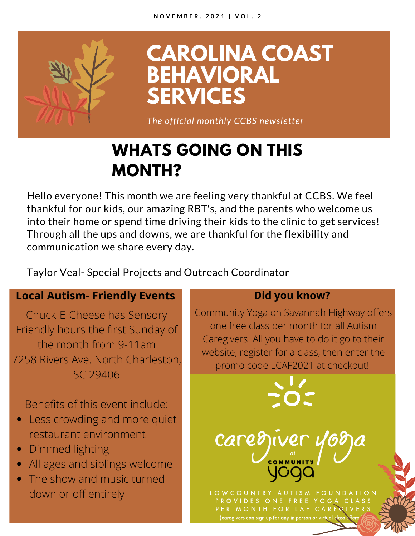

**CAROLINA COAST BEHAVIORAL SERVICES**

*The official monthly CCBS newsletter*

# **WHATS GOING ON THIS MONTH?**

Hello everyone! This month we are feeling very thankful at CCBS. We feel thankful for our kids, our amazing RBT's, and the parents who welcome us into their home or spend time driving their kids to the clinic to get services! Through all the ups and downs, we are thankful for the flexibility and communication we share every day.

Taylor Veal- Special Projects and Outreach Coordinator

#### **Local Autism- Friendly Events**

Chuck-E-Cheese has Sensory Friendly hours the first Sunday of the month from 9-11am 7258 Rivers Ave. North Charleston, SC 29406

Benefits of this event include:

- Less crowding and more quiet restaurant environment
- Dimmed lighting
- All ages and siblings welcome
- The show and music turned down or off entirely

#### **Did you know?**

Community Yoga on Savannah Highway offers one free class per month for all Autism Caregivers! All you have to do it go to their website, register for a class, then enter the promo code LCAF2021 at checkout!

LOWCOUNTRY AUTISM FOUNDATION PROVIDES ONE FREE YOGA CLASS PER MONTH FOR LAF CAREGIVERS

(caregivers can sign up for any in-person or virtual clas

carediver y